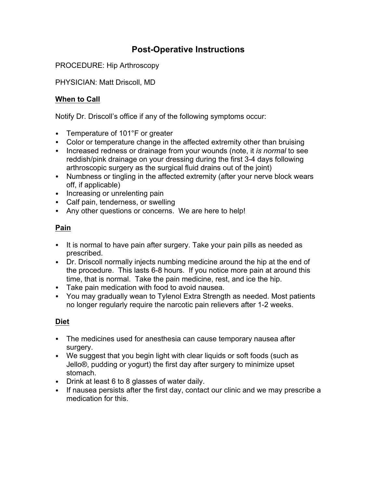# **Post-Operative Instructions**

PROCEDURE: Hip Arthroscopy

PHYSICIAN: Matt Driscoll, MD

# **When to Call**

Notify Dr. Driscoll's office if any of the following symptoms occur:

- Temperature of 101°F or greater
- Color or temperature change in the affected extremity other than bruising
- Increased redness or drainage from your wounds (note, it *is normal* to see reddish/pink drainage on your dressing during the first 3-4 days following arthroscopic surgery as the surgical fluid drains out of the joint)
- Numbness or tingling in the affected extremity (after your nerve block wears off, if applicable)
- Increasing or unrelenting pain
- Calf pain, tenderness, or swelling
- Any other questions or concerns. We are here to help!

# **Pain**

- It is normal to have pain after surgery. Take your pain pills as needed as prescribed.
- Dr. Driscoll normally injects numbing medicine around the hip at the end of the procedure. This lasts 6-8 hours. If you notice more pain at around this time, that is normal. Take the pain medicine, rest, and ice the hip.
- Take pain medication with food to avoid nausea.
- You may gradually wean to Tylenol Extra Strength as needed. Most patients no longer regularly require the narcotic pain relievers after 1-2 weeks.

# **Diet**

- The medicines used for anesthesia can cause temporary nausea after surgery.
- We suggest that you begin light with clear liquids or soft foods (such as Jello®, pudding or yogurt) the first day after surgery to minimize upset stomach.
- Drink at least 6 to 8 glasses of water daily.
- If nausea persists after the first day, contact our clinic and we may prescribe a medication for this.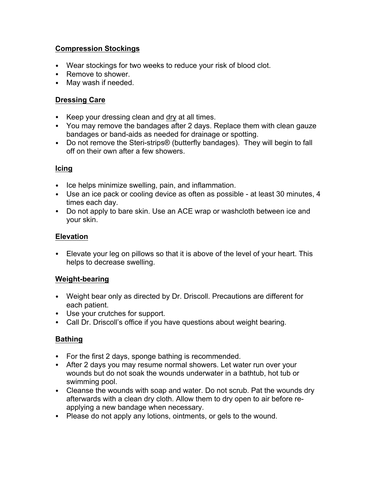# **Compression Stockings**

- Wear stockings for two weeks to reduce your risk of blood clot.
- Remove to shower.
- May wash if needed.

# **Dressing Care**

- Keep your dressing clean and dry at all times.
- You may remove the bandages after 2 days. Replace them with clean gauze bandages or band-aids as needed for drainage or spotting.
- Do not remove the Steri-strips® (butterfly bandages). They will begin to fall off on their own after a few showers.

#### **Icing**

- Ice helps minimize swelling, pain, and inflammation.
- Use an ice pack or cooling device as often as possible at least 30 minutes, 4 times each day.
- Do not apply to bare skin. Use an ACE wrap or washcloth between ice and your skin.

#### **Elevation**

• Elevate your leg on pillows so that it is above of the level of your heart. This helps to decrease swelling.

# **Weight-bearing**

- Weight bear only as directed by Dr. Driscoll. Precautions are different for each patient.
- Use your crutches for support.
- Call Dr. Driscoll's office if you have questions about weight bearing.

# **Bathing**

- For the first 2 days, sponge bathing is recommended.
- After 2 days you may resume normal showers. Let water run over your wounds but do not soak the wounds underwater in a bathtub, hot tub or swimming pool.
- Cleanse the wounds with soap and water. Do not scrub. Pat the wounds dry afterwards with a clean dry cloth. Allow them to dry open to air before reapplying a new bandage when necessary.
- Please do not apply any lotions, ointments, or gels to the wound.